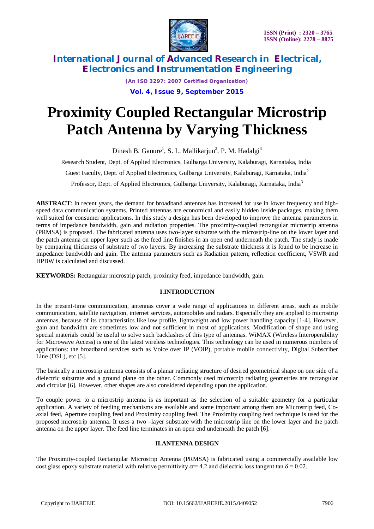

*(An ISO 3297: 2007 Certified Organization)* **Vol. 4, Issue 9, September 2015**

# **Proximity Coupled Rectangular Microstrip Patch Antenna by Varying Thickness**

Dinesh B. Ganure<sup>1</sup>, S. L. Mallikarjun<sup>2</sup>, P. M. Hadalgi<sup>3</sup>

Research Student, Dept. of Applied Electronics, Gulbarga University, Kalaburagi, Karnataka, India<sup>1</sup>

Guest Faculty, Dept. of Applied Electronics, Gulbarga University, Kalaburagi, Karnataka, India<sup>2</sup>

Professor, Dept. of Applied Electronics, Gulbarga University, Kalaburagi, Karnataka, India<sup>3</sup>

**ABSTRACT**: In recent years, the demand for broadband antennas has increased for use in lower frequency and highspeed data communication systems. Printed antennas are economical and easily hidden inside packages, making them well suited for consumer applications. In this study a design has been developed to improve the antenna parameters in terms of impedance bandwidth, gain and radiation properties. The proximity-coupled rectangular microstrip antenna (PRMSA) is proposed. The fabricated antenna uses two-layer substrate with the microstrip-line on the lower layer and the patch antenna on upper layer such as the feed line finishes in an open end underneath the patch. The study is made by comparing thickness of substrate of two layers. By increasing the substrate thickness it is found to be increase in impedance bandwidth and gain. The antenna parameters such as Radiation pattern, reflection coefficient, VSWR and HPBW is calculated and discussed.

**KEYWORDS:** Rectangular microstrip patch, proximity feed, impedance bandwidth, gain.

### **I.INTRODUCTION**

In the present-time communication, antennas cover a wide range of applications in different areas, such as mobile communication, satellite navigation, internet services, automobiles and radars. Especially they are applied to microstrip antennas, because of its characteristics like low profile, lightweight and low power handling capacity [1-4]. However, gain and bandwidth are sometimes low and not sufficient in most of applications. Modification of shape and using special materials could be useful to solve such backlashes of this type of antennas. WiMAX (Wireless Interoperability for Microwave Access) is one of the latest wireless technologies. This technology can be used in numerous numbers of applications: the broadband services such as Voice over IP (VOIP), portable mobile connectivity, Digital Subscriber Line (DSL), etc [5].

The basically a microstrip antenna consists of a planar radiating structure of desired geometrical shape on one side of a dielectric substrate and a ground plane on the other. Commonly used microstrip radiating geometries are rectangular and circular [6]. However, other shapes are also considered depending upon the application.

To couple power to a microstrip antenna is as important as the selection of a suitable geometry for a particular application. A variety of feeding mechanisms are available and some important among them are Microstrip feed, Coaxial feed, Aperture coupling feed and Proximity coupling feed. The Proximity coupling feed technique is used for the proposed microstrip antenna. It uses a two –layer substrate with the microstrip line on the lower layer and the patch antenna on the upper layer. The feed line terminates in an open end underneath the patch [6].

#### **II.ANTENNA DESIGN**

The Proximity-coupled Rectangular Microstrip Antenna (PRMSA) is fabricated using a commercially available low cost glass epoxy substrate material with relative permittivity  $\epsilon r= 4.2$  and dielectric loss tangent tan  $\delta = 0.02$ .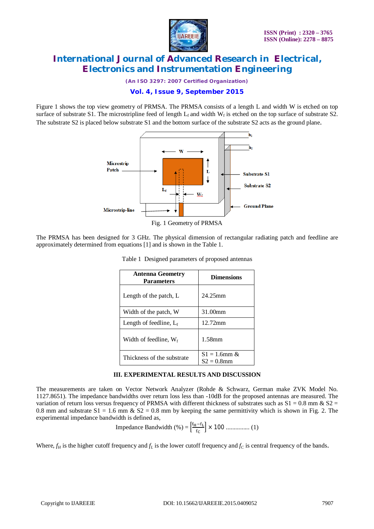

*(An ISO 3297: 2007 Certified Organization)*

### **Vol. 4, Issue 9, September 2015**

Figure 1 shows the top view geometry of PRMSA. The PRMSA consists of a length L and width W is etched on top surface of substrate S1. The microstripline feed of length  $L_f$  and width  $W_f$  is etched on the top surface of substrate S2. The substrate S2 is placed below substrate S1 and the bottom surface of the substrate S2 acts as the ground plane.



Fig. 1 Geometry of PRMSA

The PRMSA has been designed for 3 GHz. The physical dimension of rectangular radiating patch and feedline are approximately determined from equations [1] and is shown in the Table 1.

| <b>Antenna Geometry</b><br><b>Parameters</b> | <b>Dimensions</b>                |  |
|----------------------------------------------|----------------------------------|--|
| Length of the patch, L                       | 24.25mm                          |  |
| Width of the patch, W                        | 31.00mm                          |  |
| Length of feedline, $L_f$                    | 12.72mm                          |  |
| Width of feedline, $W_f$                     | $1.58$ mm                        |  |
| Thickness of the substrate                   | $S1 = 1.6$ mm &<br>$S2 = 0.8$ mm |  |

Table 1 Designed parameters of proposed antennas

#### **III. EXPERIMENTAL RESULTS AND DISCUSSION**

The measurements are taken on Vector Network Analyzer (Rohde & Schwarz, German make ZVK Model No. 1127.8651). The impedance bandwidths over return loss less than -10dB for the proposed antennas are measured. The variation of return loss versus frequency of PRMSA with different thickness of substrates such as  $S1 = 0.8$  mm &  $S2 =$ 0.8 mm and substrate  $S1 = 1.6$  mm  $\& S2 = 0.8$  mm by keeping the same permittivity which is shown in Fig. 2. The experimental impedance bandwidth is defined as,

Impedance Bandwidth  $(\% ) = \left[\frac{f_H - f_L}{f_H}\right]$ ి ቃ × 100 ............... (1)

Where,  $f_H$  is the higher cutoff frequency and  $f_L$  is the lower cutoff frequency and  $f_C$  is central frequency of the bands.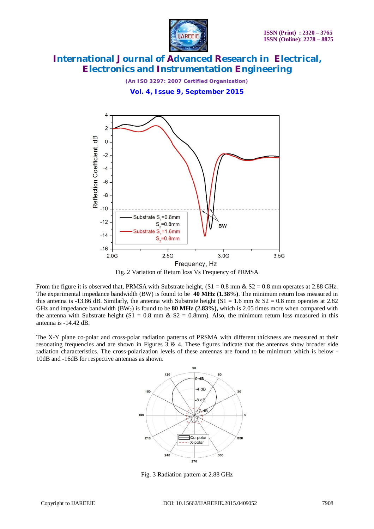

*(An ISO 3297: 2007 Certified Organization)*

**Vol. 4, Issue 9, September 2015**



Fig. 2 Variation of Return loss Vs Frequency of PRMSA

From the figure it is observed that, PRMSA with Substrate height,  $(S1 = 0.8 \text{ mm} \& S2 = 0.8 \text{ mm}$  operates at 2.88 GHz. The experimental impedance bandwidth (BW) is found to be **40 MHz (1.38%)**. The minimum return loss measured in this antenna is -13.86 dB. Similarly, the antenna with Substrate height (S1 = 1.6 mm & S2 = 0.8 mm operates at 2.82) GHz and impedance bandwidth  $(BW_2)$  is found to be **80 MHz (2.83%)**, which is 2.05 times more when compared with the antenna with Substrate height  $(S1 = 0.8$  mm &  $S2 = 0.8$ mm). Also, the minimum return loss measured in this antenna is -14.42 dB.

The X-Y plane co-polar and cross-polar radiation patterns of PRSMA with different thickness are measured at their resonating frequencies and are shown in Figures  $3 \& 4$ . These figures indicate that the antennas show broader side radiation characteristics. The cross-polarization levels of these antennas are found to be minimum which is below - 10dB and -16dB for respective antennas as shown.



Fig. 3 Radiation pattern at 2.88 GHz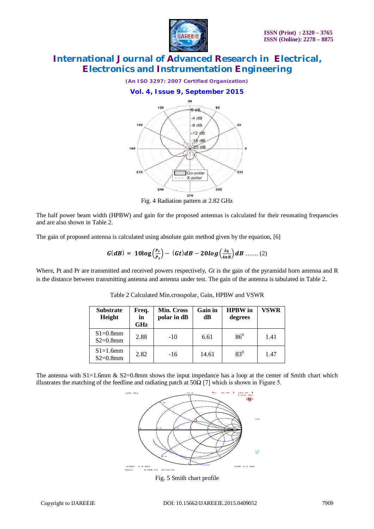



The half power beam width (HPBW) and gain for the proposed antennas is calculated for their resonating frequencies and are also shown in Table 2.

The gain of proposed antenna is calculated using absolute gain method given by the equation, [6]

$$
G(dB) = 10\log\left(\frac{P_r}{P_t}\right) - (Gt)dB - 20log\left(\frac{\lambda_0}{4\pi R}\right)dB \dots (2)
$$

Where, Pt and Pr are transmitted and received powers respectively, *Gt* is the gain of the pyramidal horn antenna and R is the distance between transmitting antenna and antenna under test. The gain of the antenna is tabulated in Table 2.

| <b>Substrate</b><br>Height | Freq.<br>in<br><b>GHz</b> | Min. Cross<br>polar in dB | Gain in<br>dВ | <b>HPBW</b> in<br>degrees | <b>VSWR</b> |
|----------------------------|---------------------------|---------------------------|---------------|---------------------------|-------------|
| $S1=0.8$ mm<br>$S2=0.8$ mm | 2.88                      | $-10$                     | 6.61          | $86^{0}$                  | 1.41        |
| $S1=1.6$ mm<br>$S2=0.8$ mm | 2.82                      | $-16$                     | 14.61         | $83^{0}$                  | 1.47        |

Table 2 Calculated Min.crosspolar, Gain, HPBW and VSWR

The antenna with  $S1=1.6$ mm  $\&$  S2=0.8mm shows the input impedance has a loop at the center of Smith chart which illustrates the matching of the feedline and radiating patch at 50Ω [7] which is shown in Figure 5.



Fig. 5 Smith chart profile